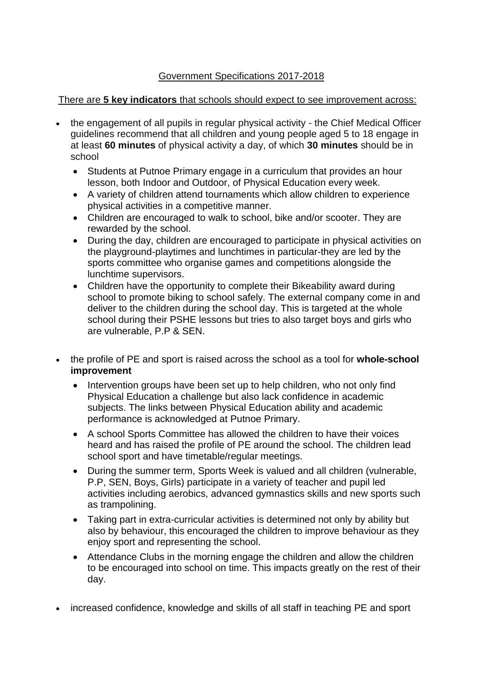## Government Specifications 2017-2018

## There are **5 key indicators** that schools should expect to see improvement across:

- the engagement of all pupils in regular physical activity the Chief Medical Officer guidelines recommend that all children and young people aged 5 to 18 engage in at least **60 minutes** of physical activity a day, of which **30 minutes** should be in school
	- Students at Putnoe Primary engage in a curriculum that provides an hour lesson, both Indoor and Outdoor, of Physical Education every week.
	- A variety of children attend tournaments which allow children to experience physical activities in a competitive manner.
	- Children are encouraged to walk to school, bike and/or scooter. They are rewarded by the school.
	- During the day, children are encouraged to participate in physical activities on the playground-playtimes and lunchtimes in particular-they are led by the sports committee who organise games and competitions alongside the lunchtime supervisors.
	- Children have the opportunity to complete their Bikeability award during school to promote biking to school safely. The external company come in and deliver to the children during the school day. This is targeted at the whole school during their PSHE lessons but tries to also target boys and girls who are vulnerable, P.P & SEN.
- the profile of PE and sport is raised across the school as a tool for **whole-school improvement**
	- Intervention groups have been set up to help children, who not only find Physical Education a challenge but also lack confidence in academic subjects. The links between Physical Education ability and academic performance is acknowledged at Putnoe Primary.
	- A school Sports Committee has allowed the children to have their voices heard and has raised the profile of PE around the school. The children lead school sport and have timetable/regular meetings.
	- During the summer term, Sports Week is valued and all children (vulnerable, P.P, SEN, Boys, Girls) participate in a variety of teacher and pupil led activities including aerobics, advanced gymnastics skills and new sports such as trampolining.
	- Taking part in extra-curricular activities is determined not only by ability but also by behaviour, this encouraged the children to improve behaviour as they enjoy sport and representing the school.
	- Attendance Clubs in the morning engage the children and allow the children to be encouraged into school on time. This impacts greatly on the rest of their day.
- increased confidence, knowledge and skills of all staff in teaching PE and sport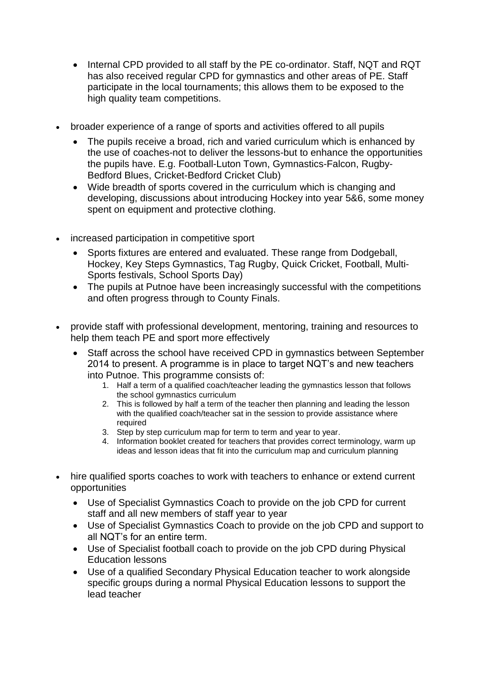- Internal CPD provided to all staff by the PE co-ordinator. Staff, NQT and RQT has also received regular CPD for gymnastics and other areas of PE. Staff participate in the local tournaments; this allows them to be exposed to the high quality team competitions.
- broader experience of a range of sports and activities offered to all pupils
	- The pupils receive a broad, rich and varied curriculum which is enhanced by the use of coaches-not to deliver the lessons-but to enhance the opportunities the pupils have. E.g. Football-Luton Town, Gymnastics-Falcon, Rugby-Bedford Blues, Cricket-Bedford Cricket Club)
	- Wide breadth of sports covered in the curriculum which is changing and developing, discussions about introducing Hockey into year 5&6, some money spent on equipment and protective clothing.
- increased participation in competitive sport
	- Sports fixtures are entered and evaluated. These range from Dodgeball, Hockey, Key Steps Gymnastics, Tag Rugby, Quick Cricket, Football, Multi-Sports festivals, School Sports Day)
	- The pupils at Putnoe have been increasingly successful with the competitions and often progress through to County Finals.
- provide staff with professional development, mentoring, training and resources to help them teach PE and sport more effectively
	- Staff across the school have received CPD in gymnastics between September 2014 to present. A programme is in place to target NQT's and new teachers into Putnoe. This programme consists of:
		- 1. Half a term of a qualified coach/teacher leading the gymnastics lesson that follows the school gymnastics curriculum
		- 2. This is followed by half a term of the teacher then planning and leading the lesson with the qualified coach/teacher sat in the session to provide assistance where required
		- 3. Step by step curriculum map for term to term and year to year.
		- 4. Information booklet created for teachers that provides correct terminology, warm up ideas and lesson ideas that fit into the curriculum map and curriculum planning
- hire qualified sports coaches to work with teachers to enhance or extend current opportunities
	- Use of Specialist Gymnastics Coach to provide on the job CPD for current staff and all new members of staff year to year
	- Use of Specialist Gymnastics Coach to provide on the job CPD and support to all NQT's for an entire term.
	- Use of Specialist football coach to provide on the job CPD during Physical Education lessons
	- Use of a qualified Secondary Physical Education teacher to work alongside specific groups during a normal Physical Education lessons to support the lead teacher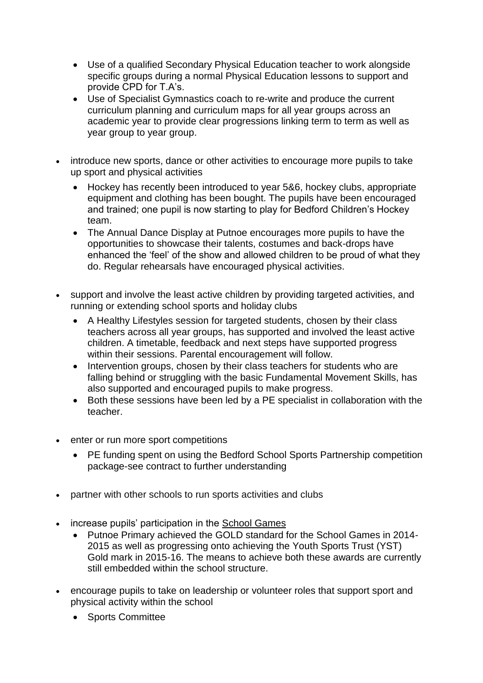- Use of a qualified Secondary Physical Education teacher to work alongside specific groups during a normal Physical Education lessons to support and provide CPD for T.A's.
- Use of Specialist Gymnastics coach to re-write and produce the current curriculum planning and curriculum maps for all year groups across an academic year to provide clear progressions linking term to term as well as year group to year group.
- introduce new sports, dance or other activities to encourage more pupils to take up sport and physical activities
	- Hockey has recently been introduced to year 5&6, hockey clubs, appropriate equipment and clothing has been bought. The pupils have been encouraged and trained; one pupil is now starting to play for Bedford Children's Hockey team.
	- The Annual Dance Display at Putnoe encourages more pupils to have the opportunities to showcase their talents, costumes and back-drops have enhanced the 'feel' of the show and allowed children to be proud of what they do. Regular rehearsals have encouraged physical activities.
- support and involve the least active children by providing targeted activities, and running or extending school sports and holiday clubs
	- A Healthy Lifestyles session for targeted students, chosen by their class teachers across all year groups, has supported and involved the least active children. A timetable, feedback and next steps have supported progress within their sessions. Parental encouragement will follow.
	- Intervention groups, chosen by their class teachers for students who are falling behind or struggling with the basic Fundamental Movement Skills, has also supported and encouraged pupils to make progress.
	- Both these sessions have been led by a PE specialist in collaboration with the teacher.
- enter or run more sport competitions
	- PE funding spent on using the Bedford School Sports Partnership competition package-see contract to further understanding
- partner with other schools to run sports activities and clubs
- increase pupils' participation in the School [Games](https://www.gov.uk/government/policies/getting-more-people-playing-sport/supporting-pages/the-school-games)
	- Putnoe Primary achieved the GOLD standard for the School Games in 2014- 2015 as well as progressing onto achieving the Youth Sports Trust (YST) Gold mark in 2015-16. The means to achieve both these awards are currently still embedded within the school structure.
- encourage pupils to take on leadership or volunteer roles that support sport and physical activity within the school
	- Sports Committee